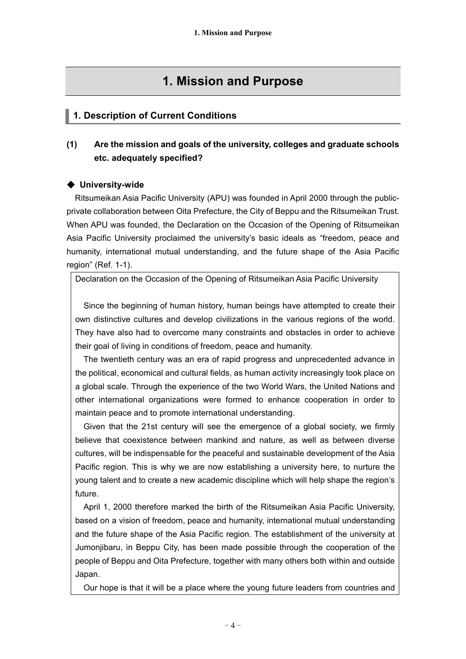# **1. Mission and Purpose**

## **1. Description of Current Conditions**

## **(1) Are the mission and goals of the university, colleges and graduate schools etc. adequately specified?**

## ◆ **University-wide**

Ritsumeikan Asia Pacific University (APU) was founded in April 2000 through the publicprivate collaboration between Oita Prefecture, the City of Beppu and the Ritsumeikan Trust. When APU was founded, the Declaration on the Occasion of the Opening of Ritsumeikan Asia Pacific University proclaimed the university's basic ideals as "freedom, peace and humanity, international mutual understanding, and the future shape of the Asia Pacific region" (Ref. 1-1).

Declaration on the Occasion of the Opening of Ritsumeikan Asia Pacific University

Since the beginning of human history, human beings have attempted to create their own distinctive cultures and develop civilizations in the various regions of the world. They have also had to overcome many constraints and obstacles in order to achieve their goal of living in conditions of freedom, peace and humanity.

The twentieth century was an era of rapid progress and unprecedented advance in the political, economical and cultural fields, as human activity increasingly took place on a global scale. Through the experience of the two World Wars, the United Nations and other international organizations were formed to enhance cooperation in order to maintain peace and to promote international understanding.

Given that the 21st century will see the emergence of a global society, we firmly believe that coexistence between mankind and nature, as well as between diverse cultures, will be indispensable for the peaceful and sustainable development of the Asia Pacific region. This is why we are now establishing a university here, to nurture the young talent and to create a new academic discipline which will help shape the region's future.

April 1, 2000 therefore marked the birth of the Ritsumeikan Asia Pacific University, based on a vision of freedom, peace and humanity, international mutual understanding and the future shape of the Asia Pacific region. The establishment of the university at Jumonjibaru, in Beppu City, has been made possible through the cooperation of the people of Beppu and Oita Prefecture, together with many others both within and outside Japan.

Our hope is that it will be a place where the young future leaders from countries and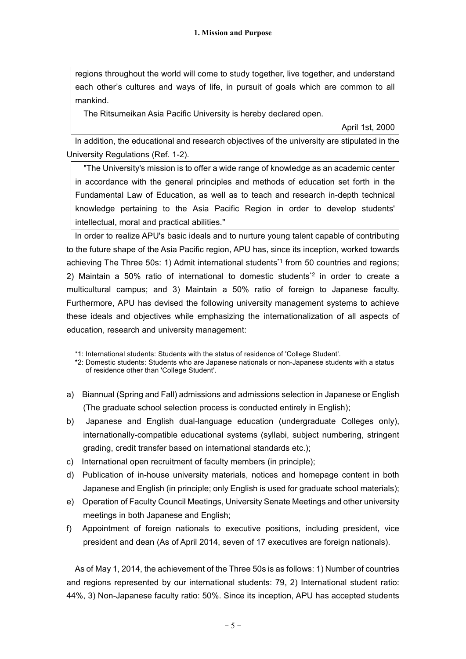regions throughout the world will come to study together, live together, and understand each other's cultures and ways of life, in pursuit of goals which are common to all mankind.

The Ritsumeikan Asia Pacific University is hereby declared open.

April 1st, 2000

In addition, the educational and research objectives of the university are stipulated in the University Regulations (Ref. 1-2).

"The University's mission is to offer a wide range of knowledge as an academic center in accordance with the general principles and methods of education set forth in the Fundamental Law of Education, as well as to teach and research in-depth technical knowledge pertaining to the Asia Pacific Region in order to develop students' intellectual, moral and practical abilities."

In order to realize APU's basic ideals and to nurture young talent capable of contributing to the future shape of the Asia Pacific region, APU has, since its inception, worked towards achieving The Three 50s: 1) Admit international students \*1 from 50 countries and regions; 2) Maintain a 50% ratio of international to domestic students<sup>\*2</sup> in order to create a multicultural campus; and 3) Maintain a 50% ratio of foreign to Japanese faculty. Furthermore, APU has devised the following university management systems to achieve these ideals and objectives while emphasizing the internationalization of all aspects of education, research and university management:

\*1: International students: Students with the status of residence of 'College Student'.

\*2: Domestic students: Students who are Japanese nationals or non-Japanese students with a status of residence other than 'College Student'.

- a) Biannual (Spring and Fall) admissions and admissions selection in Japanese or English (The graduate school selection process is conducted entirely in English);
- b) Japanese and English dual-language education (undergraduate Colleges only), internationally-compatible educational systems (syllabi, subject numbering, stringent grading, credit transfer based on international standards etc.);
- c) International open recruitment of faculty members (in principle);
- d) Publication of in-house university materials, notices and homepage content in both Japanese and English (in principle; only English is used for graduate school materials);
- e) Operation of Faculty Council Meetings, University Senate Meetings and other university meetings in both Japanese and English;
- f) Appointment of foreign nationals to executive positions, including president, vice president and dean (As of April 2014, seven of 17 executives are foreign nationals).

As of May 1, 2014, the achievement of the Three 50s is as follows: 1) Number of countries and regions represented by our international students: 79, 2) International student ratio: 44%, 3) Non-Japanese faculty ratio: 50%. Since its inception, APU has accepted students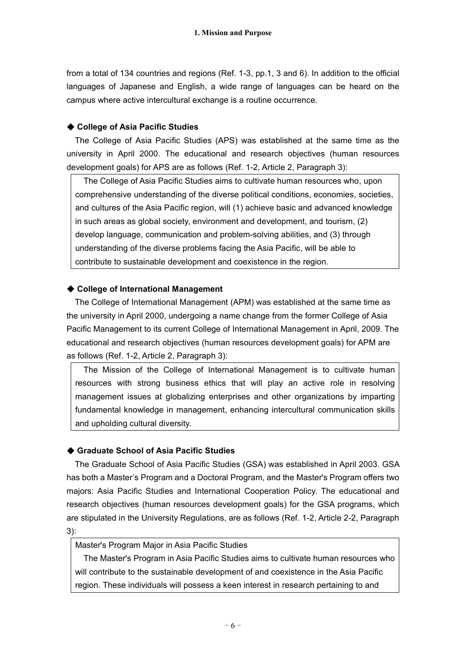from a total of 134 countries and regions (Ref. 1-3, pp.1, 3 and 6). In addition to the official languages of Japanese and English, a wide range of languages can be heard on the campus where active intercultural exchange is a routine occurrence.

## ◆ **College of Asia Pacific Studies**

The College of Asia Pacific Studies (APS) was established at the same time as the university in April 2000. The educational and research objectives (human resources development goals) for APS are as follows (Ref. 1-2, Article 2, Paragraph 3):

The College of Asia Pacific Studies aims to cultivate human resources who, upon comprehensive understanding of the diverse political conditions, economies, societies, and cultures of the Asia Pacific region, will (1) achieve basic and advanced knowledge in such areas as global society, environment and development, and tourism, (2) develop language, communication and problem-solving abilities, and (3) through understanding of the diverse problems facing the Asia Pacific, will be able to contribute to sustainable development and coexistence in the region.

## ◆ **College of International Management**

The College of International Management (APM) was established at the same time as the university in April 2000, undergoing a name change from the former College of Asia Pacific Management to its current College of International Management in April, 2009. The educational and research objectives (human resources development goals) for APM are as follows (Ref. 1-2, Article 2, Paragraph 3):

The Mission of the College of International Management is to cultivate human resources with strong business ethics that will play an active role in resolving management issues at globalizing enterprises and other organizations by imparting fundamental knowledge in management, enhancing intercultural communication skills and upholding cultural diversity.

## ◆ **Graduate School of Asia Pacific Studies**

The Graduate School of Asia Pacific Studies (GSA) was established in April 2003. GSA has both a Master's Program and a Doctoral Program, and the Master's Program offers two majors: Asia Pacific Studies and International Cooperation Policy. The educational and research objectives (human resources development goals) for the GSA programs, which are stipulated in the University Regulations, are as follows (Ref. 1-2, Article 2-2, Paragraph 3):

### Master's Program Major in Asia Pacific Studies

The Master's Program in Asia Pacific Studies aims to cultivate human resources who will contribute to the sustainable development of and coexistence in the Asia Pacific region. These individuals will possess a keen interest in research pertaining to and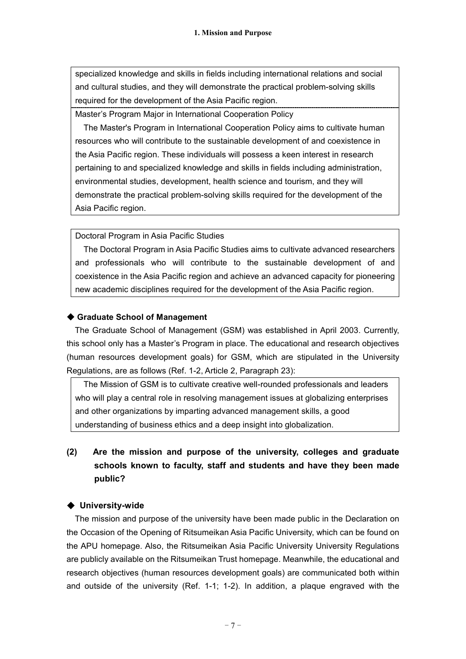specialized knowledge and skills in fields including international relations and social and cultural studies, and they will demonstrate the practical problem-solving skills required for the development of the Asia Pacific region.

Master's Program Major in International Cooperation Policy

The Master's Program in International Cooperation Policy aims to cultivate human resources who will contribute to the sustainable development of and coexistence in the Asia Pacific region. These individuals will possess a keen interest in research pertaining to and specialized knowledge and skills in fields including administration, environmental studies, development, health science and tourism, and they will demonstrate the practical problem-solving skills required for the development of the Asia Pacific region.

Doctoral Program in Asia Pacific Studies

The Doctoral Program in Asia Pacific Studies aims to cultivate advanced researchers and professionals who will contribute to the sustainable development of and coexistence in the Asia Pacific region and achieve an advanced capacity for pioneering new academic disciplines required for the development of the Asia Pacific region.

## ◆ **Graduate School of Management**

The Graduate School of Management (GSM) was established in April 2003. Currently, this school only has a Master's Program in place. The educational and research objectives (human resources development goals) for GSM, which are stipulated in the University Regulations, are as follows (Ref. 1-2, Article 2, Paragraph 23):

The Mission of GSM is to cultivate creative well-rounded professionals and leaders who will play a central role in resolving management issues at globalizing enterprises and other organizations by imparting advanced management skills, a good understanding of business ethics and a deep insight into globalization.

**(2) Are the mission and purpose of the university, colleges and graduate schools known to faculty, staff and students and have they been made public?**

## ◆ **University-wide**

The mission and purpose of the university have been made public in the Declaration on the Occasion of the Opening of Ritsumeikan Asia Pacific University, which can be found on the APU homepage. Also, the Ritsumeikan Asia Pacific University University Regulations are publicly available on the Ritsumeikan Trust homepage. Meanwhile, the educational and research objectives (human resources development goals) are communicated both within and outside of the university (Ref. 1-1; 1-2). In addition, a plaque engraved with the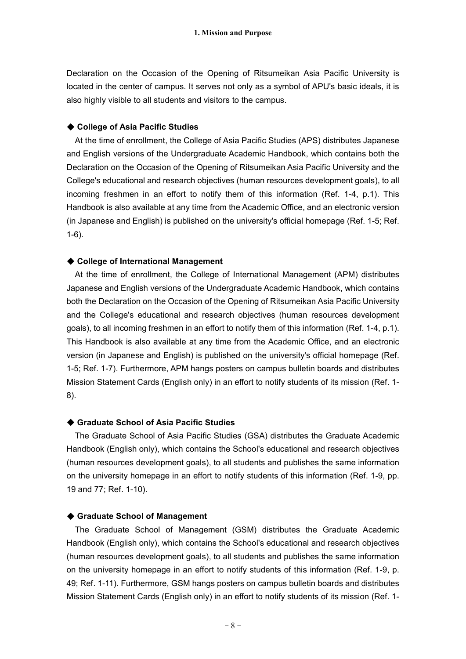Declaration on the Occasion of the Opening of Ritsumeikan Asia Pacific University is located in the center of campus. It serves not only as a symbol of APU's basic ideals, it is also highly visible to all students and visitors to the campus.

### ◆ **College of Asia Pacific Studies**

At the time of enrollment, the College of Asia Pacific Studies (APS) distributes Japanese and English versions of the Undergraduate Academic Handbook, which contains both the Declaration on the Occasion of the Opening of Ritsumeikan Asia Pacific University and the College's educational and research objectives (human resources development goals), to all incoming freshmen in an effort to notify them of this information (Ref. 1-4, p.1). This Handbook is also available at any time from the Academic Office, and an electronic version (in Japanese and English) is published on the university's official homepage (Ref. 1-5; Ref. 1-6).

### ◆ **College of International Management**

At the time of enrollment, the College of International Management (APM) distributes Japanese and English versions of the Undergraduate Academic Handbook, which contains both the Declaration on the Occasion of the Opening of Ritsumeikan Asia Pacific University and the College's educational and research objectives (human resources development goals), to all incoming freshmen in an effort to notify them of this information (Ref. 1-4, p.1). This Handbook is also available at any time from the Academic Office, and an electronic version (in Japanese and English) is published on the university's official homepage (Ref. 1-5; Ref. 1-7). Furthermore, APM hangs posters on campus bulletin boards and distributes Mission Statement Cards (English only) in an effort to notify students of its mission (Ref. 1- 8).

### ◆ **Graduate School of Asia Pacific Studies**

The Graduate School of Asia Pacific Studies (GSA) distributes the Graduate Academic Handbook (English only), which contains the School's educational and research objectives (human resources development goals), to all students and publishes the same information on the university homepage in an effort to notify students of this information (Ref. 1-9, pp. 19 and 77; Ref. 1-10).

#### ◆ **Graduate School of Management**

The Graduate School of Management (GSM) distributes the Graduate Academic Handbook (English only), which contains the School's educational and research objectives (human resources development goals), to all students and publishes the same information on the university homepage in an effort to notify students of this information (Ref. 1-9, p. 49; Ref. 1-11). Furthermore, GSM hangs posters on campus bulletin boards and distributes Mission Statement Cards (English only) in an effort to notify students of its mission (Ref. 1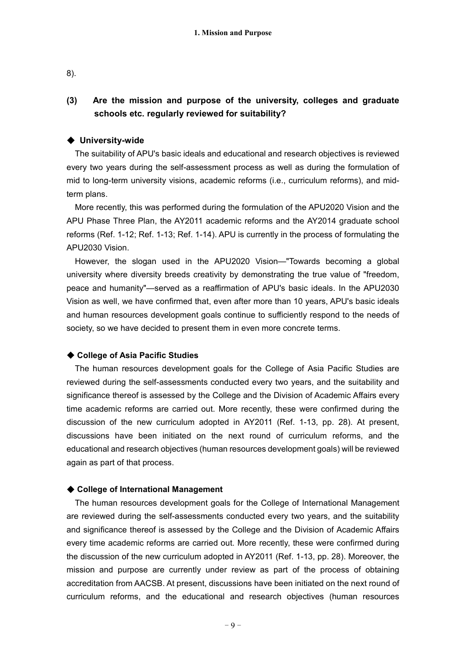8).

## **(3) Are the mission and purpose of the university, colleges and graduate schools etc. regularly reviewed for suitability?**

### ◆ **University-wide**

The suitability of APU's basic ideals and educational and research objectives is reviewed every two years during the self-assessment process as well as during the formulation of mid to long-term university visions, academic reforms (i.e., curriculum reforms), and midterm plans.

More recently, this was performed during the formulation of the APU2020 Vision and the APU Phase Three Plan, the AY2011 academic reforms and the AY2014 graduate school reforms (Ref. 1-12; Ref. 1-13; Ref. 1-14). APU is currently in the process of formulating the APU2030 Vision.

However, the slogan used in the APU2020 Vision—"Towards becoming a global university where diversity breeds creativity by demonstrating the true value of "freedom, peace and humanity"—served as a reaffirmation of APU's basic ideals. In the APU2030 Vision as well, we have confirmed that, even after more than 10 years, APU's basic ideals and human resources development goals continue to sufficiently respond to the needs of society, so we have decided to present them in even more concrete terms.

### ◆ **College of Asia Pacific Studies**

The human resources development goals for the College of Asia Pacific Studies are reviewed during the self-assessments conducted every two years, and the suitability and significance thereof is assessed by the College and the Division of Academic Affairs every time academic reforms are carried out. More recently, these were confirmed during the discussion of the new curriculum adopted in AY2011 (Ref. 1-13, pp. 28). At present, discussions have been initiated on the next round of curriculum reforms, and the educational and research objectives (human resources development goals) will be reviewed again as part of that process.

### ◆ **College of International Management**

The human resources development goals for the College of International Management are reviewed during the self-assessments conducted every two years, and the suitability and significance thereof is assessed by the College and the Division of Academic Affairs every time academic reforms are carried out. More recently, these were confirmed during the discussion of the new curriculum adopted in AY2011 (Ref. 1-13, pp. 28). Moreover, the mission and purpose are currently under review as part of the process of obtaining accreditation from AACSB. At present, discussions have been initiated on the next round of curriculum reforms, and the educational and research objectives (human resources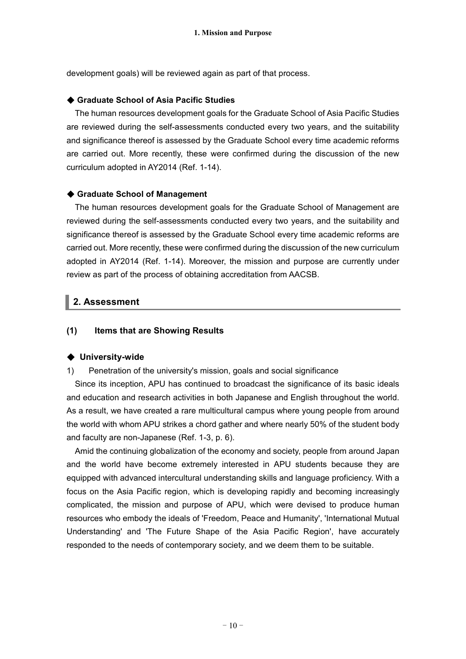development goals) will be reviewed again as part of that process.

## ◆ **Graduate School of Asia Pacific Studies**

The human resources development goals for the Graduate School of Asia Pacific Studies are reviewed during the self-assessments conducted every two years, and the suitability and significance thereof is assessed by the Graduate School every time academic reforms are carried out. More recently, these were confirmed during the discussion of the new curriculum adopted in AY2014 (Ref. 1-14).

### ◆ **Graduate School of Management**

The human resources development goals for the Graduate School of Management are reviewed during the self-assessments conducted every two years, and the suitability and significance thereof is assessed by the Graduate School every time academic reforms are carried out. More recently, these were confirmed during the discussion of the new curriculum adopted in AY2014 (Ref. 1-14). Moreover, the mission and purpose are currently under review as part of the process of obtaining accreditation from AACSB.

## **2. Assessment**

## **(1) Items that are Showing Results**

#### ◆ **University-wide**

### 1) Penetration of the university's mission, goals and social significance

Since its inception, APU has continued to broadcast the significance of its basic ideals and education and research activities in both Japanese and English throughout the world. As a result, we have created a rare multicultural campus where young people from around the world with whom APU strikes a chord gather and where nearly 50% of the student body and faculty are non-Japanese (Ref. 1-3, p. 6).

Amid the continuing globalization of the economy and society, people from around Japan and the world have become extremely interested in APU students because they are equipped with advanced intercultural understanding skills and language proficiency. With a focus on the Asia Pacific region, which is developing rapidly and becoming increasingly complicated, the mission and purpose of APU, which were devised to produce human resources who embody the ideals of 'Freedom, Peace and Humanity', 'International Mutual Understanding' and 'The Future Shape of the Asia Pacific Region', have accurately responded to the needs of contemporary society, and we deem them to be suitable.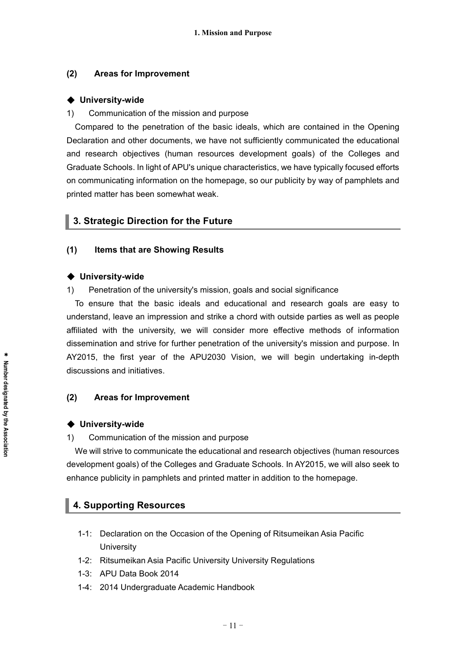## **(2) Areas for Improvement**

### ◆ **University-wide**

### 1) Communication of the mission and purpose

Compared to the penetration of the basic ideals, which are contained in the Opening Declaration and other documents, we have not sufficiently communicated the educational and research objectives (human resources development goals) of the Colleges and Graduate Schools. In light of APU's unique characteristics, we have typically focused efforts on communicating information on the homepage, so our publicity by way of pamphlets and printed matter has been somewhat weak.

## **3. Strategic Direction for the Future**

### **(1) Items that are Showing Results**

#### ◆ **University-wide**

1) Penetration of the university's mission, goals and social significance

To ensure that the basic ideals and educational and research goals are easy to understand, leave an impression and strike a chord with outside parties as well as people affiliated with the university, we will consider more effective methods of information dissemination and strive for further penetration of the university's mission and purpose. In AY2015, the first year of the APU2030 Vision, we will begin undertaking in-depth discussions and initiatives.

## **(2) Areas for Improvement**

### ◆ **University-wide**

1) Communication of the mission and purpose

We will strive to communicate the educational and research objectives (human resources development goals) of the Colleges and Graduate Schools. In AY2015, we will also seek to enhance publicity in pamphlets and printed matter in addition to the homepage.

## **4. Supporting Resources**

- 1-1: Declaration on the Occasion of the Opening of Ritsumeikan Asia Pacific **University**
- 1-2: Ritsumeikan Asia Pacific University University Regulations
- 1-3: APU Data Book 2014
- 1-4: 2014 Undergraduate Academic Handbook

\*